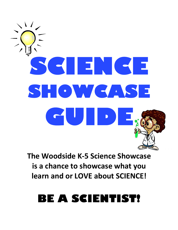# $\sqrt{2}$ **SCIENCE SHOWCASE GUIDE DE SOULDERE**

**The Woodside K-5 Science Showcase is a chance to showcase what you learn and or LOVE about SCIENCE!**

# **BE A SCIENTIST!**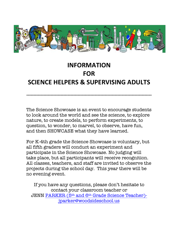

# **INFORMATION FOR SCIENCE HELPERS & SUPERVISING ADULTS**

**----------------------------------------------------------------------------------------** 

The Science Showcase is an event to encourage students to look around the world and see the science, to explore nature, to create models, to perform experiments, to question, to wonder, to marvel, to observe, have fun, and then SHOWCASE what they have learned.

For K-4th grade the Science Showcase is voluntary, but all fifth graders will conduct an experiment and participate in the Science Showcase. No judging will take place, but all participants will receive recognition. All classes, teachers, and staff are invited to observe the projects during the school day. This year there will be no evening event.

If you have any questions, please don't hesitate to contact your classroom teacher or JENN PARKER (5th and 6th Grade Science Teacher) jparker@woodsideschool.us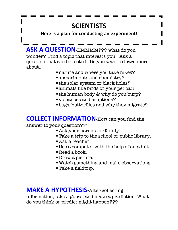# **SCIENTISTS**

### **Here is a plan for conducting an experiment!**

**ASK A QUESTION-HMMMM???** What do you wonder? Find a topic that interests you! Ask a question that can be tested. Do you want to learn more about…

- § nature and where you take hikes?
- § experiments and chemistry?
- the solar system or black holes?
- § animals like birds or your pet cat?
- the human body & why do you burp?
- § volcanoes and eruptions?
- bugs, butterflies and why they migrate?

### **COLLECT INFORMATION**-How can you find the

### answer to your question???

- Ask your parents or family.
- § Take a trip to the school or public library.
- § Ask a teacher.
- § Use a computer with the help of an adult.
- Read a book.
- § Draw a picture.
- Watch something and make observations.
- § Take a fieldtrip.

### **MAKE A HYPOTHESIS**-After collecting

information, take a guess, and make a prediction. What do you think or predict might happen???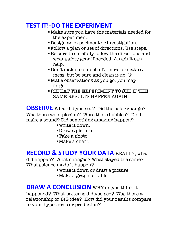### **TEST IT!-DO THE EXPERIMENT**

- § Make sure you have the materials needed for the experiment.
- **Design an experiment or investigation.**
- § Follow a plan or set of directions. Use steps.
- §Be sure to carefully follow the directions and wear safety gear if needed. An adult can help.
- § Don't make too much of a mess or make a mess, but be sure and clean it up.  $\odot$
- § Make observations as you go, you may forget.
- § REPEAT THE EXPERIMENT TO SEE IF THE SAME RESULTS HAPPEN AGAIN!

**OBSERVE**-What did you see? Did the color change? Was there an explosion? Were there bubbles? Did it make a sound? Did something amazing happen?

- §Write it down.
- §Draw a picture.
- ■Take a photo.
- §Make a chart.

### **RECORD & STUDY YOUR DATA**-REALLY, what

did happen? What changed? What stayed the same? What science made it happen?

- §Write it down or draw a picture.
- Make a graph or table.

**DRAW A CONCLUSION**-WHY do you think it happened? What patterns did you see? Was there a relationship or BIG idea? How did your results compare to your hypothesis or prediction?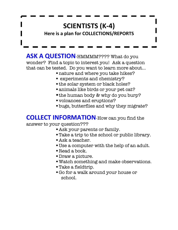### **SCIENTISTS (K-4) Here is a plan for COLLECTIONS/REPORTS**

**ASK A QUESTION-HMMMM????** What do you wonder? Find a topic to interest you! Ask a question that can be tested. Do you want to learn more about…

- § nature and where you take hikes?
- § experiments and chemistry?
- the solar system or black holes?
- animals like birds or your pet cat?
- the human body & why do you burp?
- § volcanoes and eruptions?
- § bugs, butterflies and why they migrate?

### **COLLECT INFORMATION**-How can you find the

#### answer to your question???

- **Ask your parents or family.**
- § Take a trip to the school or public library.
- § Ask a teacher.
- § Use a computer with the help of an adult.
- Read a book.
- § Draw a picture.
- § Watch something and make observations.
- § Take a fieldtrip.
- § Go for a walk around your house or school.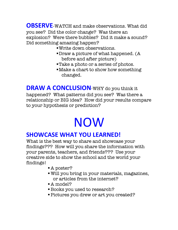**OBSERVE**-WATCH and make observations. What did you see? Did the color change? Was there an explosion? Were there bubbles? Did it make a sound? Did something amazing happen?

- §Write down observations.
- §Draw a picture of what happened. (A before and after picture)
- ■Take a photo or a series of photos.
- §Make a chart to show how something changed.

**DRAW A CONCLUSION**-WHY do you think it happened? What patterns did you see? Was there a

relationship or BIG idea? How did your results compare to your hypothesis or prediction?

# NOW

### **SHOWCASE WHAT YOU LEARNED!**

What is the best way to share and showcase your findings??? How will you share the information with your parents, teachers, and friends??? Use your creative side to show the school and the world your findings!

- A poster?
- § Will you bring in your materials, magazines, or articles from the internet?
- A model?
- **Books you used to research?**
- § Pictures you drew or art you created?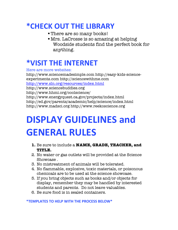## **\*CHECK OUT THE LIBRARY**

- § There are so many books!
- § Mrs. LaCrosse is so amazing at helping Woodside students find the perfect book for anything.

# **\*VISIT THE INTERNET**

Here are more websites:

http://www.sciencemadesimple.com http://easy-kids-scienceexperiments.com http://sciencewithme.com http://www.sln.org/resources/index.html http://www.sciencebuddies.org http://www.hhmi.org/coolscience/ http://www.energyquest.ca.gov/projects/index.html http://ed.gov/parents/academic/help/science/index.html http://www.madsci.org http://www.reekoscience.org

# **DISPLAY GUIDELINES and GENERAL RULES**

- **1.** Be sure to include a **NAME, GRADE, TEACHER, and TITLE.**
- 2. No water or gas outlets will be provided at the Science Showcase .
- 3. No mistreatment of animals will be tolerated.
- 4. No flammable, explosive, toxic materials, or poisonous chemicals are to be used at the science showcase.
- 5. If you bring objects such as books and/or objects for display, remember they may be handled by interested students and parents. Do not leave valuables.
- 6. Be sure food is in sealed containers.

#### **\*TEMPLATES TO HELP WITH THE PROCESS BELOW\***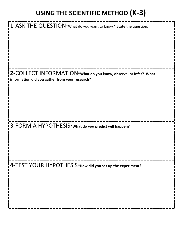# **USING THE SCIENTIFIC METHOD (K-3)**

| $\mathbf 1$ -ASK THE QUESTION*What do you want to know? State the question.                                       |
|-------------------------------------------------------------------------------------------------------------------|
| 2-COLLECT INFORMATION*What do you know, observe, or infer? What<br>information did you gather from your research? |
| 3-FORM A HYPOTHESIS*What do you predict will happen?                                                              |
| $\mathsf{\mid 4-TEST}$ YOUR $\mathsf{\mid 4YPOTHESIS*}$ How did you set up the experiment?                        |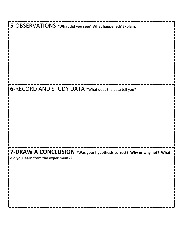**5-**OBSERVATIONS **\*What did you see? What happened? Explain. 6-**RECORD AND STUDY DATA \*What does the data tell you? **7-DRAW A CONCLUSION \*Was your hypothesis correct? Why or why not? What did you learn from the experiment??**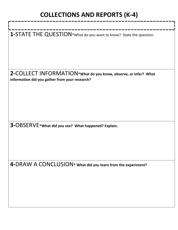# **COLLECTIONS AND REPORTS (K-4)**

| 1-STATE THE QUESTION*What do you want to know? State the question.                                                |
|-------------------------------------------------------------------------------------------------------------------|
| 2-COLLECT INFORMATION*What do you know, observe, or infer? What<br>information did you gather from your research? |
| 3-OBSERVE* What did you see? What happened? Explain.                                                              |
| 4-DRAW A CONCLUSION* what did you learn from the experiment?                                                      |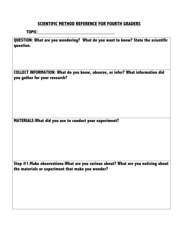### **SCIENTIFIC METHOD REFERENCE FOR FOURTH GRADERS**

#### **TOPIC:**

**QUESTION: What are you wondering? What do you want to know? State the scientific question.**

**COLLECT INFORMATION: What do you know, observe, or infer? What information did you gather for your research?**

**MATERIALS:What did you use to conduct your experiment?**

**Step #1:Make observations:What are you curious about? What are you noticing about the materials or experiment that make you wonder?**